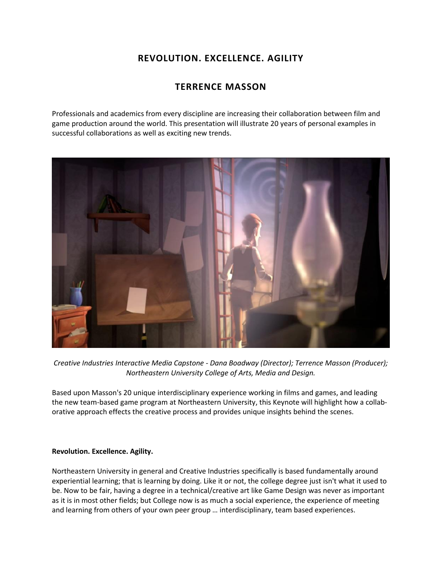## **REVOLUTION. EXCELLENCE. AGILITY**

## **TERRENCE MASSON**

Professionals and academics from every discipline are increasing their collaboration between film and game production around the world. This presentation will illustrate 20 years of personal examples in successful collaborations as well as exciting new trends.



*Creative Industries Interactive Media Capstone - Dana Boadway (Director); Terrence Masson (Producer); Northeastern University College of Arts, Media and Design.*

Based upon Masson's 20 unique interdisciplinary experience working in films and games, and leading the new team-based game program at Northeastern University, this Keynote will highlight how a collaborative approach effects the creative process and provides unique insights behind the scenes.

## **Revolution. Excellence. Agility.**

Northeastern University in general and Creative Industries specifically is based fundamentally around experiential learning; that is learning by doing. Like it or not, the college degree just isn't what it used to be. Now to be fair, having a degree in a technical/creative art like Game Design was never as important as it is in most other fields; but College now is as much a social experience, the experience of meeting and learning from others of your own peer group … interdisciplinary, team based experiences.